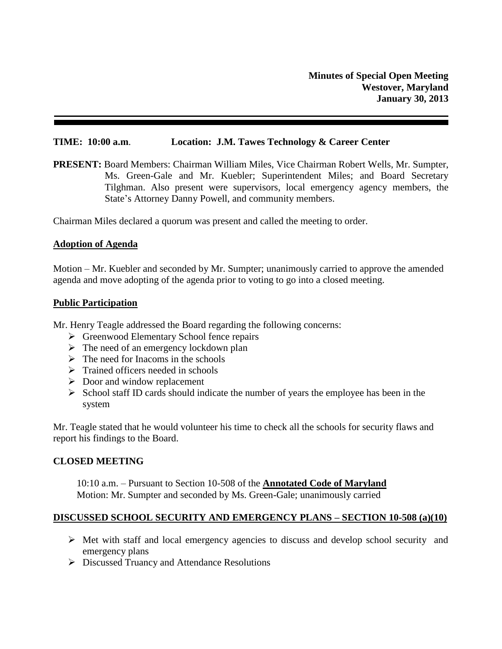#### **TIME: 10:00 a.m**. **Location: J.M. Tawes Technology & Career Center**

**PRESENT:** Board Members: Chairman William Miles, Vice Chairman Robert Wells, Mr. Sumpter, Ms. Green-Gale and Mr. Kuebler; Superintendent Miles; and Board Secretary Tilghman. Also present were supervisors, local emergency agency members, the State's Attorney Danny Powell, and community members.

Chairman Miles declared a quorum was present and called the meeting to order.

#### **Adoption of Agenda**

Motion – Mr. Kuebler and seconded by Mr. Sumpter; unanimously carried to approve the amended agenda and move adopting of the agenda prior to voting to go into a closed meeting.

#### **Public Participation**

Mr. Henry Teagle addressed the Board regarding the following concerns:

- ▶ Greenwood Elementary School fence repairs
- $\triangleright$  The need of an emergency lockdown plan
- $\triangleright$  The need for Inacoms in the schools
- $\triangleright$  Trained officers needed in schools
- $\triangleright$  Door and window replacement
- $\triangleright$  School staff ID cards should indicate the number of years the employee has been in the system

Mr. Teagle stated that he would volunteer his time to check all the schools for security flaws and report his findings to the Board.

## **CLOSED MEETING**

10:10 a.m. – Pursuant to Section 10-508 of the **Annotated Code of Maryland** Motion: Mr. Sumpter and seconded by Ms. Green-Gale; unanimously carried

## **DISCUSSED SCHOOL SECURITY AND EMERGENCY PLANS – SECTION 10-508 (a)(10)**

- $\triangleright$  Met with staff and local emergency agencies to discuss and develop school security and emergency plans
- Discussed Truancy and Attendance Resolutions